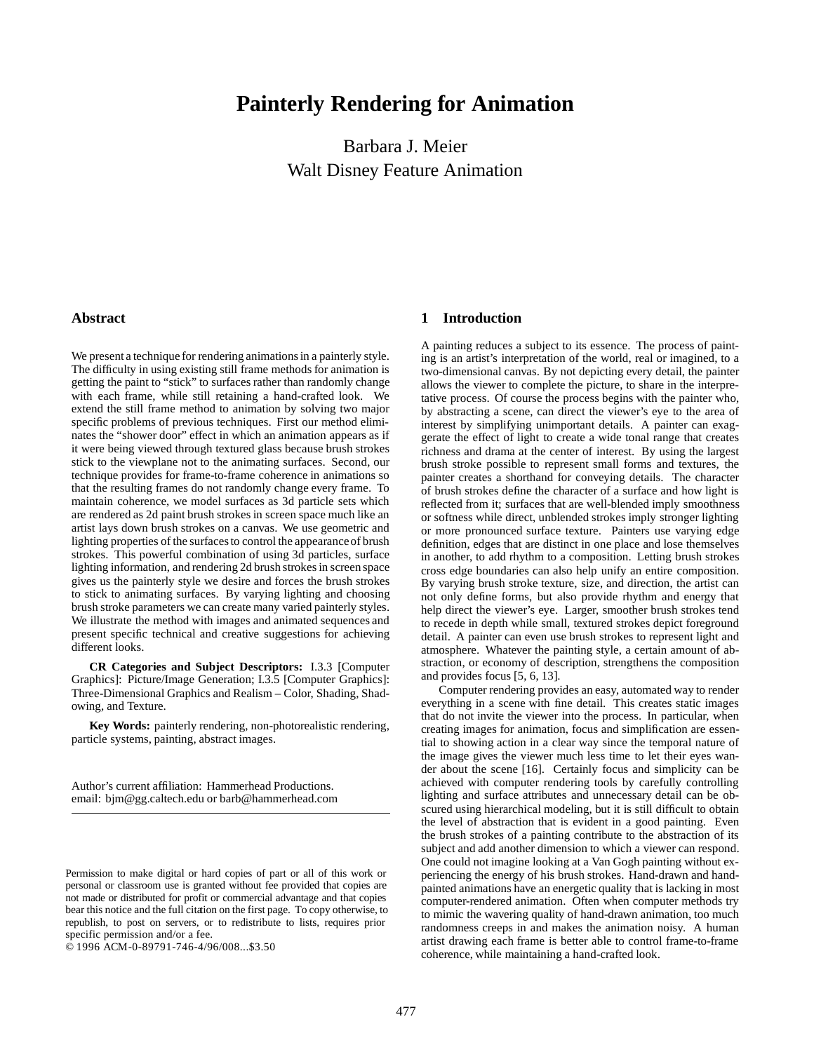# **Painterly Rendering for Animation**

Barbara J. Meier Walt Disney Feature Animation

## **Abstract**

We present a technique for rendering animations in a painterly style. The difficulty in using existing still frame methods for animation is getting the paint to "stick" to surfaces rather than randomly change with each frame, while still retaining a hand-crafted look. We extend the still frame method to animation by solving two major specific problems of previous techniques. First our method eliminates the "shower door" effect in which an animation appears as if it were being viewed through textured glass because brush strokes stick to the viewplane not to the animating surfaces. Second, our technique provides for frame-to-frame coherence in animations so that the resulting frames do not randomly change every frame. To maintain coherence, we model surfaces as 3d particle sets which are rendered as 2d paint brush strokes in screen space much like an artist lays down brush strokes on a canvas. We use geometric and lighting properties of the surfaces to control the appearance of brush strokes. This powerful combination of using 3d particles, surface lighting information, and rendering 2d brush strokes in screen space gives us the painterly style we desire and forces the brush strokes to stick to animating surfaces. By varying lighting and choosing brush stroke parameters we can create many varied painterly styles. We illustrate the method with images and animated sequences and present specific technical and creative suggestions for achieving different looks.

**CR Categories and Subject Descriptors:** I.3.3 [Computer Graphics]: Picture/Image Generation; I.3.5 [Computer Graphics]: Three-Dimensional Graphics and Realism – Color, Shading, Shadowing, and Texture.

**Key Words:** painterly rendering, non-photorealistic rendering, particle systems, painting, abstract images.

Author's current affiliation: Hammerhead Productions. email: bjm@gg.caltech.edu or barb@hammerhead.com

© 1996 ACM-0-89791-746-4/96/008...\$3.50

# **1 Introduction**

A painting reduces a subject to its essence. The process of painting is an artist's interpretation of the world, real or imagined, to a two-dimensional canvas. By not depicting every detail, the painter allows the viewer to complete the picture, to share in the interpretative process. Of course the process begins with the painter who, by abstracting a scene, can direct the viewer's eye to the area of interest by simplifying unimportant details. A painter can exaggerate the effect of light to create a wide tonal range that creates richness and drama at the center of interest. By using the largest brush stroke possible to represent small forms and textures, the painter creates a shorthand for conveying details. The character of brush strokes define the character of a surface and how light is reflected from it; surfaces that are well-blended imply smoothness or softness while direct, unblended strokes imply stronger lighting or more pronounced surface texture. Painters use varying edge definition, edges that are distinct in one place and lose themselves in another, to add rhythm to a composition. Letting brush strokes cross edge boundaries can also help unify an entire composition. By varying brush stroke texture, size, and direction, the artist can not only define forms, but also provide rhythm and energy that help direct the viewer's eye. Larger, smoother brush strokes tend to recede in depth while small, textured strokes depict foreground detail. A painter can even use brush strokes to represent light and atmosphere. Whatever the painting style, a certain amount of abstraction, or economy of description, strengthens the composition and provides focus [5, 6, 13].

Computer rendering provides an easy, automated way to render everything in a scene with fine detail. This creates static images that do not invite the viewer into the process. In particular, when creating images for animation, focus and simplification are essential to showing action in a clear way since the temporal nature of the image gives the viewer much less time to let their eyes wander about the scene [16]. Certainly focus and simplicity can be achieved with computer rendering tools by carefully controlling lighting and surface attributes and unnecessary detail can be obscured using hierarchical modeling, but it is still difficult to obtain the level of abstraction that is evident in a good painting. Even the brush strokes of a painting contribute to the abstraction of its subject and add another dimension to which a viewer can respond. One could not imagine looking at a Van Gogh painting without experiencing the energy of his brush strokes. Hand-drawn and handpainted animations have an energetic quality that is lacking in most computer-rendered animation. Often when computer methods try to mimic the wavering quality of hand-drawn animation, too much randomness creeps in and makes the animation noisy. A human artist drawing each frame is better able to control frame-to-frame coherence, while maintaining a hand-crafted look.

Permission to make digital or hard copies of part or all of this work or personal or classroom use is granted without fee provided that copies are not made or distributed for profit or commercial advantage and that copies bear this notice and the full citation on the first page. To copy otherwise, to republish, to post on servers, or to redistribute to lists, requires prior specific permission and/or a fee.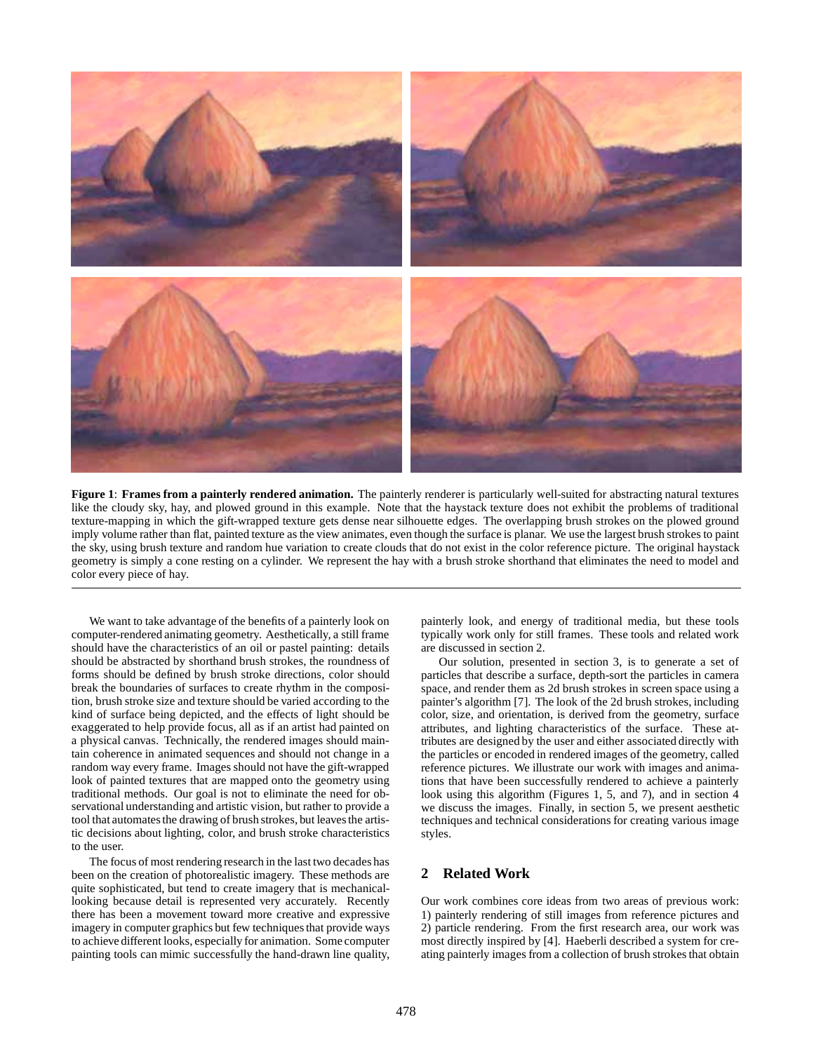

**Figure 1**: **Frames from a painterly rendered animation.** The painterly renderer is particularly well-suited for abstracting natural textures like the cloudy sky, hay, and plowed ground in this example. Note that the haystack texture does not exhibit the problems of traditional texture-mapping in which the gift-wrapped texture gets dense near silhouette edges. The overlapping brush strokes on the plowed ground imply volume rather than flat, painted texture as the view animates, even though the surface is planar. We use the largest brush strokes to paint the sky, using brush texture and random hue variation to create clouds that do not exist in the color reference picture. The original haystack geometry is simply a cone resting on a cylinder. We represent the hay with a brush stroke shorthand that eliminates the need to model and color every piece of hay.

We want to take advantage of the benefits of a painterly look on computer-rendered animating geometry. Aesthetically, a still frame should have the characteristics of an oil or pastel painting: details should be abstracted by shorthand brush strokes, the roundness of forms should be defined by brush stroke directions, color should break the boundaries of surfaces to create rhythm in the composition, brush stroke size and texture should be varied according to the kind of surface being depicted, and the effects of light should be exaggerated to help provide focus, all as if an artist had painted on a physical canvas. Technically, the rendered images should maintain coherence in animated sequences and should not change in a random way every frame. Images should not have the gift-wrapped look of painted textures that are mapped onto the geometry using traditional methods. Our goal is not to eliminate the need for observational understanding and artistic vision, but rather to provide a tool that automates the drawing of brush strokes, but leaves the artistic decisions about lighting, color, and brush stroke characteristics to the user.

The focus of most rendering research in the last two decades has been on the creation of photorealistic imagery. These methods are quite sophisticated, but tend to create imagery that is mechanicallooking because detail is represented very accurately. Recently there has been a movement toward more creative and expressive imagery in computer graphics but few techniques that provide ways to achieve different looks, especially for animation. Some computer painting tools can mimic successfully the hand-drawn line quality, painterly look, and energy of traditional media, but these tools typically work only for still frames. These tools and related work are discussed in section 2.

Our solution, presented in section 3, is to generate a set of particles that describe a surface, depth-sort the particles in camera space, and render them as 2d brush strokes in screen space using a painter's algorithm [7]. The look of the 2d brush strokes, including color, size, and orientation, is derived from the geometry, surface attributes, and lighting characteristics of the surface. These attributes are designed by the user and either associated directly with the particles or encoded in rendered images of the geometry, called reference pictures. We illustrate our work with images and animations that have been successfully rendered to achieve a painterly look using this algorithm (Figures 1, 5, and 7), and in section 4 we discuss the images. Finally, in section 5, we present aesthetic techniques and technical considerations for creating various image styles.

# **2 Related Work**

Our work combines core ideas from two areas of previous work: 1) painterly rendering of still images from reference pictures and 2) particle rendering. From the first research area, our work was most directly inspired by [4]. Haeberli described a system for creating painterly images from a collection of brush strokes that obtain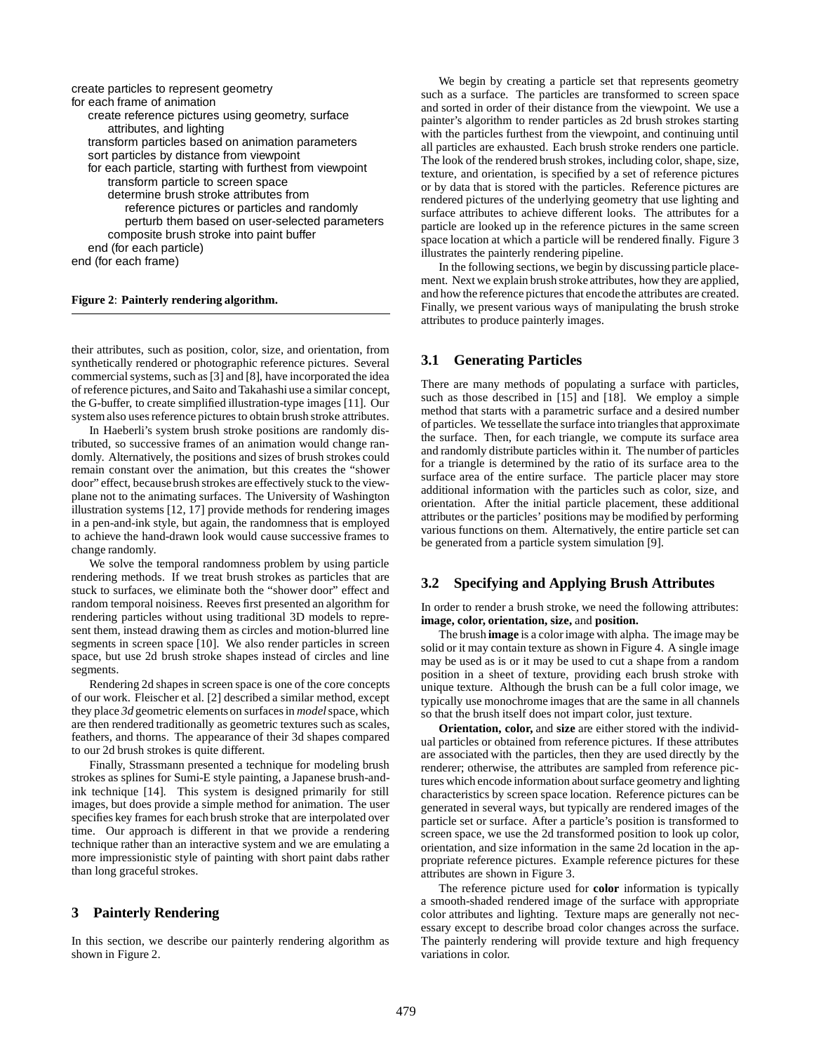create particles to represent geometry for each frame of animation create reference pictures using geometry, surface attributes, and lighting transform particles based on animation parameters sort particles by distance from viewpoint for each particle, starting with furthest from viewpoint transform particle to screen space determine brush stroke attributes from reference pictures or particles and randomly perturb them based on user-selected parameters composite brush stroke into paint buffer end (for each particle) end (for each frame)

**Figure 2**: **Painterly rendering algorithm.**

their attributes, such as position, color, size, and orientation, from synthetically rendered or photographic reference pictures. Several commercial systems, such as [3] and [8], have incorporated the idea of reference pictures, and Saito and Takahashiuse a similar concept, the G-buffer, to create simplified illustration-type images [11]. Our system also uses reference pictures to obtain brush stroke attributes.

In Haeberli's system brush stroke positions are randomly distributed, so successive frames of an animation would change randomly. Alternatively, the positions and sizes of brush strokes could remain constant over the animation, but this creates the "shower door" effect, becausebrush strokes are effectively stuck to the viewplane not to the animating surfaces. The University of Washington illustration systems [12, 17] provide methods for rendering images in a pen-and-ink style, but again, the randomness that is employed to achieve the hand-drawn look would cause successive frames to change randomly.

We solve the temporal randomness problem by using particle rendering methods. If we treat brush strokes as particles that are stuck to surfaces, we eliminate both the "shower door" effect and random temporal noisiness. Reeves first presented an algorithm for rendering particles without using traditional 3D models to represent them, instead drawing them as circles and motion-blurred line segments in screen space [10]. We also render particles in screen space, but use 2d brush stroke shapes instead of circles and line segments.

Rendering 2d shapes in screen space is one of the core concepts of our work. Fleischer et al. [2] described a similar method, except they place *3d* geometric elements on surfaces in *model*space, which are then rendered traditionally as geometric textures such as scales, feathers, and thorns. The appearance of their 3d shapes compared to our 2d brush strokes is quite different.

Finally, Strassmann presented a technique for modeling brush strokes as splines for Sumi-E style painting, a Japanese brush-andink technique [14]. This system is designed primarily for still images, but does provide a simple method for animation. The user specifies key frames for each brush stroke that are interpolated over time. Our approach is different in that we provide a rendering technique rather than an interactive system and we are emulating a more impressionistic style of painting with short paint dabs rather than long graceful strokes.

# **3 Painterly Rendering**

In this section, we describe our painterly rendering algorithm as shown in Figure 2.

We begin by creating a particle set that represents geometry such as a surface. The particles are transformed to screen space and sorted in order of their distance from the viewpoint. We use a painter's algorithm to render particles as 2d brush strokes starting with the particles furthest from the viewpoint, and continuing until all particles are exhausted. Each brush stroke renders one particle. The look of the rendered brush strokes, including color, shape, size, texture, and orientation, is specified by a set of reference pictures or by data that is stored with the particles. Reference pictures are rendered pictures of the underlying geometry that use lighting and surface attributes to achieve different looks. The attributes for a particle are looked up in the reference pictures in the same screen space location at which a particle will be rendered finally. Figure 3 illustrates the painterly rendering pipeline.

In the following sections, we begin by discussing particle placement. Next we explain brush stroke attributes, how they are applied, and how the reference pictures that encodethe attributes are created. Finally, we present various ways of manipulating the brush stroke attributes to produce painterly images.

### **3.1 Generating Particles**

There are many methods of populating a surface with particles, such as those described in [15] and [18]. We employ a simple method that starts with a parametric surface and a desired number of particles. We tessellate the surface into triangles that approximate the surface. Then, for each triangle, we compute its surface area and randomly distribute particles within it. The number of particles for a triangle is determined by the ratio of its surface area to the surface area of the entire surface. The particle placer may store additional information with the particles such as color, size, and orientation. After the initial particle placement, these additional attributes or the particles' positions may be modified by performing various functions on them. Alternatively, the entire particle set can be generated from a particle system simulation [9].

# **3.2 Specifying and Applying Brush Attributes**

In order to render a brush stroke, we need the following attributes: **image, color, orientation, size,** and **position.**

The brush **image** is a color image with alpha. The image may be solid or it may contain texture as shown in Figure 4. A single image may be used as is or it may be used to cut a shape from a random position in a sheet of texture, providing each brush stroke with unique texture. Although the brush can be a full color image, we typically use monochrome images that are the same in all channels so that the brush itself does not impart color, just texture.

**Orientation, color,** and **size** are either stored with the individual particles or obtained from reference pictures. If these attributes are associated with the particles, then they are used directly by the renderer; otherwise, the attributes are sampled from reference pictures which encode information about surface geometry and lighting characteristics by screen space location. Reference pictures can be generated in several ways, but typically are rendered images of the particle set or surface. After a particle's position is transformed to screen space, we use the 2d transformed position to look up color, orientation, and size information in the same 2d location in the appropriate reference pictures. Example reference pictures for these attributes are shown in Figure 3.

The reference picture used for **color** information is typically a smooth-shaded rendered image of the surface with appropriate color attributes and lighting. Texture maps are generally not necessary except to describe broad color changes across the surface. The painterly rendering will provide texture and high frequency variations in color.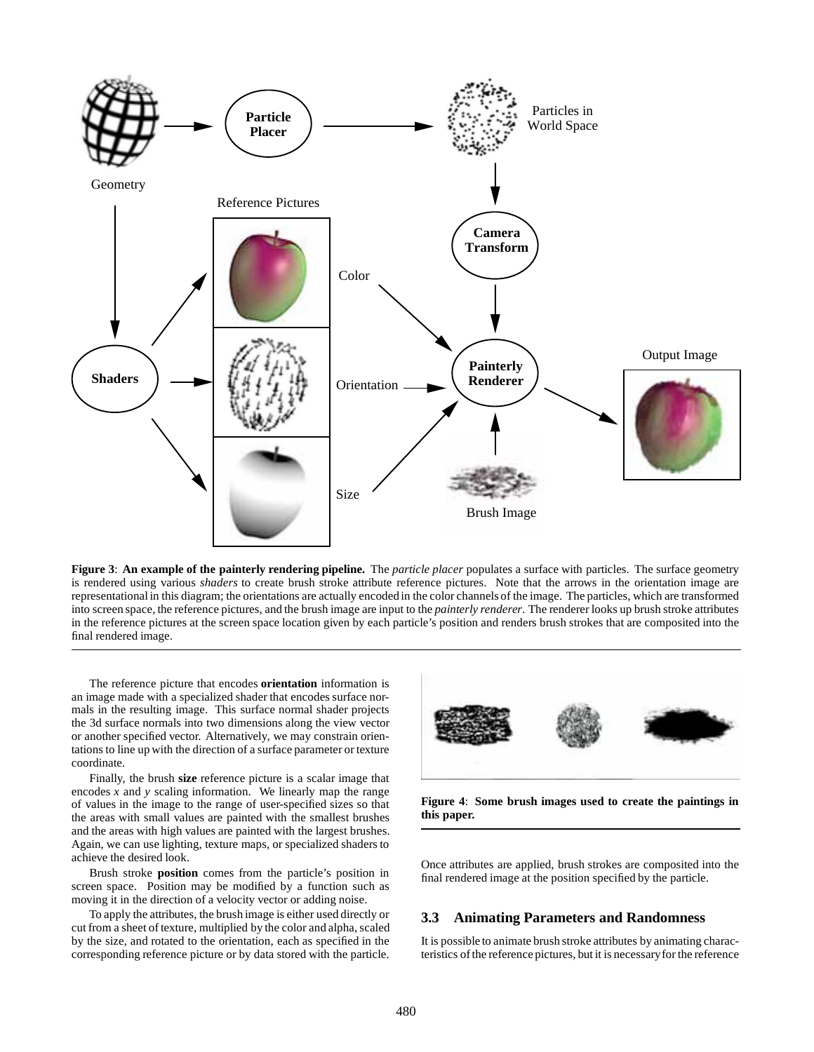

**Figure 3**: **An example of the painterly rendering pipeline.** The *particle placer* populates a surface with particles. The surface geometry is rendered using various *shaders* to create brush stroke attribute reference pictures. Note that the arrows in the orientation image are representational in this diagram; the orientations are actually encoded in the color channels of the image. The particles, which are transformed into screen space, the reference pictures, and the brush image are input to the *painterly renderer*. The renderer looks up brush stroke attributes in the reference pictures at the screen space location given by each particle's position and renders brush strokes that are composited into the final rendered image.

The reference picture that encodes **orientation** information is an image made with a specialized shader that encodes surface normals in the resulting image. This surface normal shader projects the 3d surface normals into two dimensions along the view vector or another specified vector. Alternatively, we may constrain orientations to line up with the direction of a surface parameter or texture coordinate.

Finally, the brush **size** reference picture is a scalar image that encodes *x* and *y* scaling information. We linearly map the range of values in the image to the range of user-specified sizes so that the areas with small values are painted with the smallest brushes and the areas with high values are painted with the largest brushes. Again, we can use lighting, texture maps, or specialized shaders to achieve the desired look.

Brush stroke **position** comes from the particle's position in screen space. Position may be modified by a function such as moving it in the direction of a velocity vector or adding noise.

To apply the attributes, the brush image is either used directly or cut from a sheet of texture, multiplied by the color and alpha, scaled by the size, and rotated to the orientation, each as specified in the corresponding reference picture or by data stored with the particle.

![](_page_3_Figure_6.jpeg)

![](_page_3_Figure_7.jpeg)

Once attributes are applied, brush strokes are composited into the final rendered image at the position specified by the particle.

## **3.3 Animating Parameters and Randomness**

It is possible to animate brush stroke attributes by animating characteristics of the reference pictures, but it is necessaryfor the reference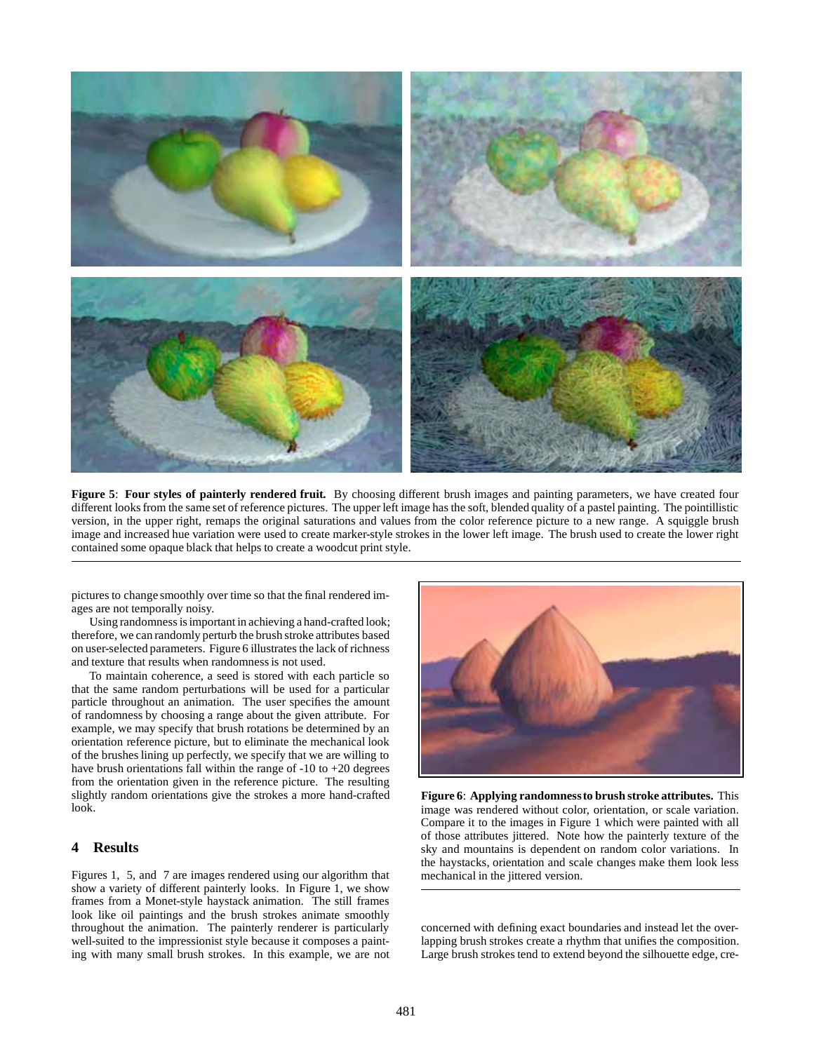![](_page_4_Picture_0.jpeg)

**Figure 5**: **Four styles of painterly rendered fruit.** By choosing different brush images and painting parameters, we have created four different looks from the same set of reference pictures. The upper left image has the soft, blended quality of a pastel painting. The pointillistic version, in the upper right, remaps the original saturations and values from the color reference picture to a new range. A squiggle brush image and increased hue variation were used to create marker-style strokes in the lower left image. The brush used to create the lower right contained some opaque black that helps to create a woodcut print style.

pictures to change smoothly over time so that the final rendered images are not temporally noisy.

Using randomness is important in achieving a hand-crafted look; therefore, we can randomly perturb the brush stroke attributes based on user-selected parameters. Figure 6 illustrates the lack of richness and texture that results when randomness is not used.

To maintain coherence, a seed is stored with each particle so that the same random perturbations will be used for a particular particle throughout an animation. The user specifies the amount of randomness by choosing a range about the given attribute. For example, we may specify that brush rotations be determined by an orientation reference picture, but to eliminate the mechanical look of the brushes lining up perfectly, we specify that we are willing to have brush orientations fall within the range of -10 to +20 degrees from the orientation given in the reference picture. The resulting slightly random orientations give the strokes a more hand-crafted look.

# **4 Results**

Figures 1, 5, and 7 are images rendered using our algorithm that show a variety of different painterly looks. In Figure 1, we show frames from a Monet-style haystack animation. The still frames look like oil paintings and the brush strokes animate smoothly throughout the animation. The painterly renderer is particularly well-suited to the impressionist style because it composes a painting with many small brush strokes. In this example, we are not

![](_page_4_Picture_7.jpeg)

**Figure 6**: **Applying randomnessto brush stroke attributes.** This image was rendered without color, orientation, or scale variation. Compare it to the images in Figure 1 which were painted with all of those attributes jittered. Note how the painterly texture of the sky and mountains is dependent on random color variations. In the haystacks, orientation and scale changes make them look less mechanical in the jittered version.

concerned with defining exact boundaries and instead let the overlapping brush strokes create a rhythm that unifies the composition. Large brush strokes tend to extend beyond the silhouette edge, cre-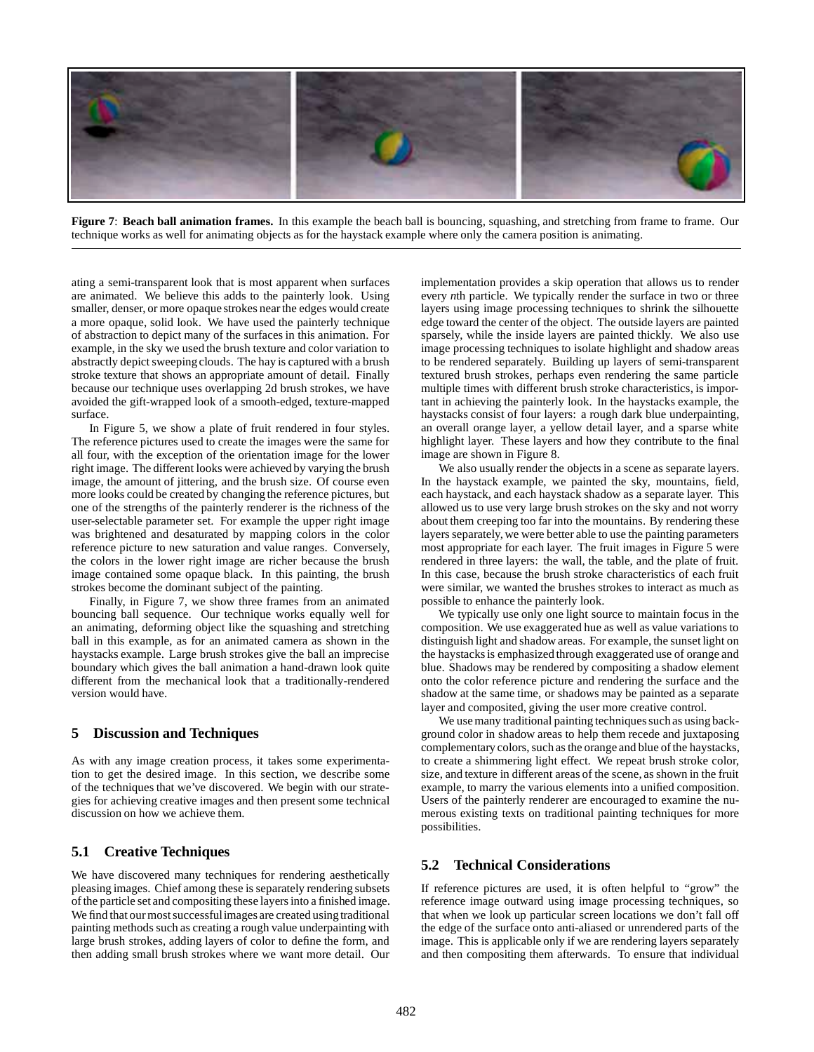![](_page_5_Figure_0.jpeg)

**Figure 7**: **Beach ball animation frames.** In this example the beach ball is bouncing, squashing, and stretching from frame to frame. Our technique works as well for animating objects as for the haystack example where only the camera position is animating.

ating a semi-transparent look that is most apparent when surfaces are animated. We believe this adds to the painterly look. Using smaller, denser, or more opaque strokes near the edges would create a more opaque, solid look. We have used the painterly technique of abstraction to depict many of the surfaces in this animation. For example, in the sky we used the brush texture and color variation to abstractly depict sweeping clouds. The hay is captured with a brush stroke texture that shows an appropriate amount of detail. Finally because our technique uses overlapping 2d brush strokes, we have avoided the gift-wrapped look of a smooth-edged, texture-mapped surface.

In Figure 5, we show a plate of fruit rendered in four styles. The reference pictures used to create the images were the same for all four, with the exception of the orientation image for the lower right image. The different looks were achieved by varying the brush image, the amount of jittering, and the brush size. Of course even more looks could be created by changing the reference pictures, but one of the strengths of the painterly renderer is the richness of the user-selectable parameter set. For example the upper right image was brightened and desaturated by mapping colors in the color reference picture to new saturation and value ranges. Conversely, the colors in the lower right image are richer because the brush image contained some opaque black. In this painting, the brush strokes become the dominant subject of the painting.

Finally, in Figure 7, we show three frames from an animated bouncing ball sequence. Our technique works equally well for an animating, deforming object like the squashing and stretching ball in this example, as for an animated camera as shown in the haystacks example. Large brush strokes give the ball an imprecise boundary which gives the ball animation a hand-drawn look quite different from the mechanical look that a traditionally-rendered version would have.

### **5 Discussion and Techniques**

As with any image creation process, it takes some experimentation to get the desired image. In this section, we describe some of the techniques that we've discovered. We begin with our strategies for achieving creative images and then present some technical discussion on how we achieve them.

# **5.1 Creative Techniques**

We have discovered many techniques for rendering aesthetically pleasing images. Chief among these is separately rendering subsets of the particle set and compositing these layers into a finished image. We find that our most successfulimages are created using traditional painting methods such as creating a rough value underpainting with large brush strokes, adding layers of color to define the form, and then adding small brush strokes where we want more detail. Our implementation provides a skip operation that allows us to render every *n*th particle. We typically render the surface in two or three layers using image processing techniques to shrink the silhouette edge toward the center of the object. The outside layers are painted sparsely, while the inside layers are painted thickly. We also use image processing techniques to isolate highlight and shadow areas to be rendered separately. Building up layers of semi-transparent textured brush strokes, perhaps even rendering the same particle multiple times with different brush stroke characteristics, is important in achieving the painterly look. In the haystacks example, the haystacks consist of four layers: a rough dark blue underpainting, an overall orange layer, a yellow detail layer, and a sparse white highlight layer. These layers and how they contribute to the final image are shown in Figure 8.

We also usually render the objects in a scene as separate layers. In the haystack example, we painted the sky, mountains, field, each haystack, and each haystack shadow as a separate layer. This allowed us to use very large brush strokes on the sky and not worry about them creeping too far into the mountains. By rendering these layers separately, we were better able to use the painting parameters most appropriate for each layer. The fruit images in Figure 5 were rendered in three layers: the wall, the table, and the plate of fruit. In this case, because the brush stroke characteristics of each fruit were similar, we wanted the brushes strokes to interact as much as possible to enhance the painterly look.

We typically use only one light source to maintain focus in the composition. We use exaggerated hue as well as value variations to distinguish light and shadow areas. For example, the sunset light on the haystacks is emphasized through exaggerated use of orange and blue. Shadows may be rendered by compositing a shadow element onto the color reference picture and rendering the surface and the shadow at the same time, or shadows may be painted as a separate layer and composited, giving the user more creative control.

We use many traditional painting techniques such as using background color in shadow areas to help them recede and juxtaposing complementary colors, such as the orange and blue of the haystacks, to create a shimmering light effect. We repeat brush stroke color, size, and texture in different areas of the scene, as shown in the fruit example, to marry the various elements into a unified composition. Users of the painterly renderer are encouraged to examine the numerous existing texts on traditional painting techniques for more possibilities.

### **5.2 Technical Considerations**

If reference pictures are used, it is often helpful to "grow" the reference image outward using image processing techniques, so that when we look up particular screen locations we don't fall off the edge of the surface onto anti-aliased or unrendered parts of the image. This is applicable only if we are rendering layers separately and then compositing them afterwards. To ensure that individual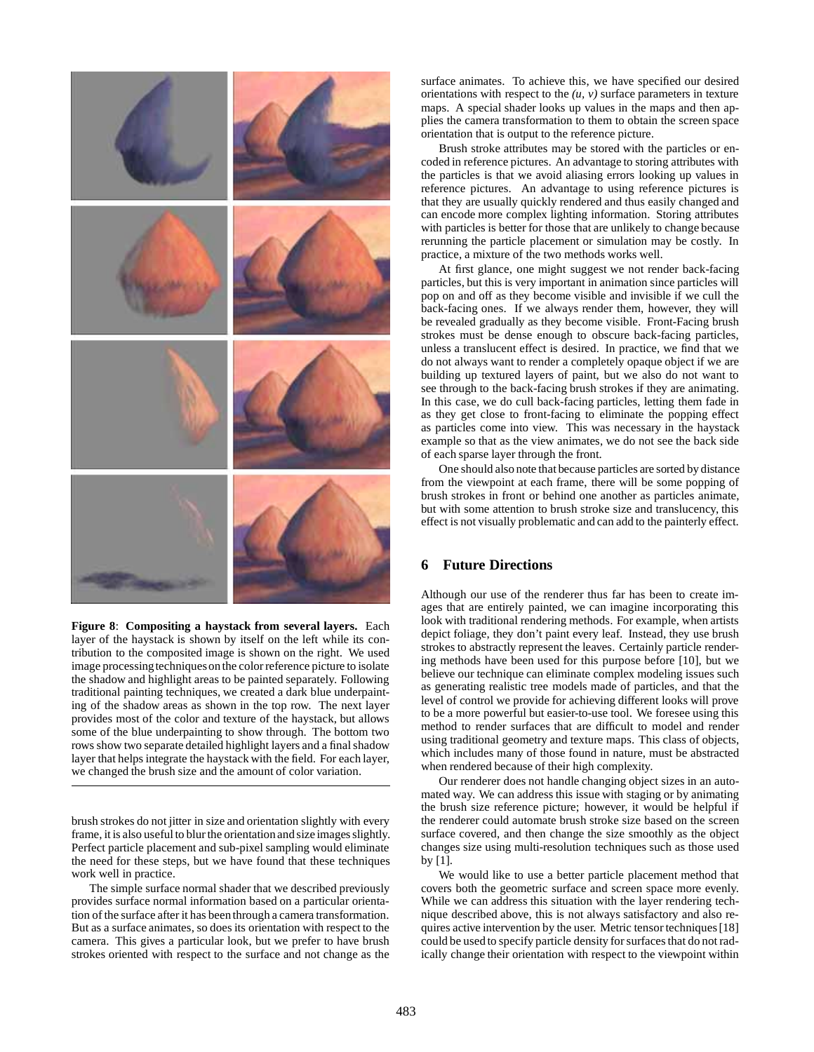![](_page_6_Picture_0.jpeg)

**Figure 8**: **Compositing a haystack from several layers.** Each layer of the haystack is shown by itself on the left while its contribution to the composited image is shown on the right. We used image processing techniques on the color reference picture to isolate the shadow and highlight areas to be painted separately. Following traditional painting techniques, we created a dark blue underpainting of the shadow areas as shown in the top row. The next layer provides most of the color and texture of the haystack, but allows some of the blue underpainting to show through. The bottom two rows show two separate detailed highlight layers and a final shadow layer that helps integrate the haystack with the field. For each layer, we changed the brush size and the amount of color variation.

brush strokes do not jitter in size and orientation slightly with every frame, it is also useful to blur the orientation and size images slightly. Perfect particle placement and sub-pixel sampling would eliminate the need for these steps, but we have found that these techniques work well in practice.

The simple surface normal shader that we described previously provides surface normal information based on a particular orientation of the surface after it has been through a camera transformation. But as a surface animates, so does its orientation with respect to the camera. This gives a particular look, but we prefer to have brush strokes oriented with respect to the surface and not change as the surface animates. To achieve this, we have specified our desired orientations with respect to the  $(u, v)$  surface parameters in texture maps. A special shader looks up values in the maps and then applies the camera transformation to them to obtain the screen space orientation that is output to the reference picture.

Brush stroke attributes may be stored with the particles or encoded in reference pictures. An advantage to storing attributes with the particles is that we avoid aliasing errors looking up values in reference pictures. An advantage to using reference pictures is that they are usually quickly rendered and thus easily changed and can encode more complex lighting information. Storing attributes with particles is better for those that are unlikely to change because rerunning the particle placement or simulation may be costly. In practice, a mixture of the two methods works well.

At first glance, one might suggest we not render back-facing particles, but this is very important in animation since particles will pop on and off as they become visible and invisible if we cull the back-facing ones. If we always render them, however, they will be revealed gradually as they become visible. Front-Facing brush strokes must be dense enough to obscure back-facing particles, unless a translucent effect is desired. In practice, we find that we do not always want to render a completely opaque object if we are building up textured layers of paint, but we also do not want to see through to the back-facing brush strokes if they are animating. In this case, we do cull back-facing particles, letting them fade in as they get close to front-facing to eliminate the popping effect as particles come into view. This was necessary in the haystack example so that as the view animates, we do not see the back side of each sparse layer through the front.

One should also note that because particles are sorted by distance from the viewpoint at each frame, there will be some popping of brush strokes in front or behind one another as particles animate, but with some attention to brush stroke size and translucency, this effect is not visually problematic and can add to the painterly effect.

# **6 Future Directions**

Although our use of the renderer thus far has been to create images that are entirely painted, we can imagine incorporating this look with traditional rendering methods. For example, when artists depict foliage, they don't paint every leaf. Instead, they use brush strokes to abstractly represent the leaves. Certainly particle rendering methods have been used for this purpose before [10], but we believe our technique can eliminate complex modeling issues such as generating realistic tree models made of particles, and that the level of control we provide for achieving different looks will prove to be a more powerful but easier-to-use tool. We foresee using this method to render surfaces that are difficult to model and render using traditional geometry and texture maps. This class of objects, which includes many of those found in nature, must be abstracted when rendered because of their high complexity.

Our renderer does not handle changing object sizes in an automated way. We can address this issue with staging or by animating the brush size reference picture; however, it would be helpful if the renderer could automate brush stroke size based on the screen surface covered, and then change the size smoothly as the object changes size using multi-resolution techniques such as those used by [1].

We would like to use a better particle placement method that covers both the geometric surface and screen space more evenly. While we can address this situation with the layer rendering technique described above, this is not always satisfactory and also requires active intervention by the user. Metric tensor techniques [18] could be used to specify particle density for surfaces that do not radically change their orientation with respect to the viewpoint within